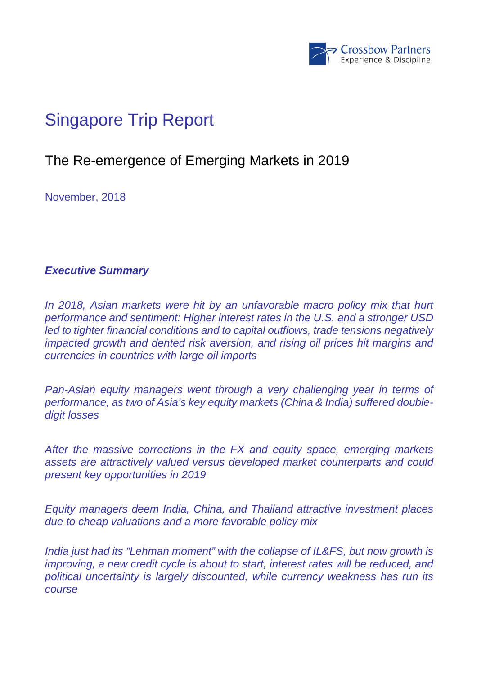

# Singapore Trip Report

## The Re-emergence of Emerging Markets in 2019

November, 2018

**Executive Summary** 

In 2018, Asian markets were hit by an unfavorable macro policy mix that hurt performance and sentiment: Higher interest rates in the U.S. and a stronger USD led to tighter financial conditions and to capital outflows, trade tensions negatively impacted growth and dented risk aversion, and rising oil prices hit margins and currencies in countries with large oil imports

Pan-Asian equity managers went through a very challenging year in terms of performance, as two of Asia's key equity markets (China & India) suffered doubledigit losses

After the massive corrections in the FX and equity space, emerging markets assets are attractively valued versus developed market counterparts and could present key opportunities in 2019

Equity managers deem India, China, and Thailand attractive investment places due to cheap valuations and a more favorable policy mix

India just had its "Lehman moment" with the collapse of IL&FS, but now growth is improving, a new credit cycle is about to start, interest rates will be reduced, and political uncertainty is largely discounted, while currency weakness has run its course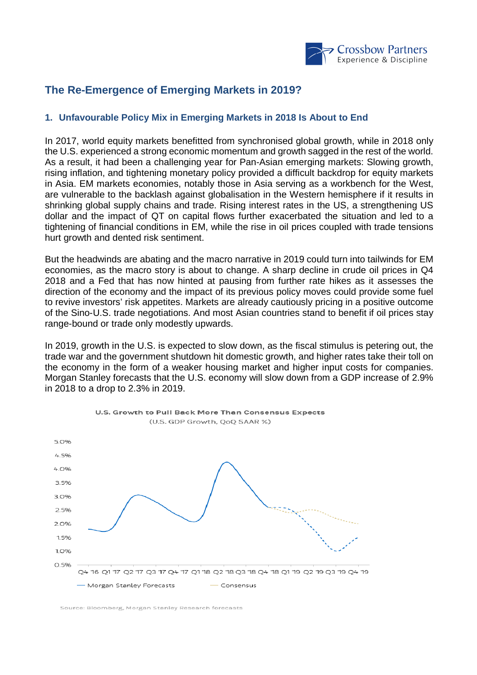

## **The Re-Emergence of Emerging Markets in 2019?**

### **1. Unfavourable Policy Mix in Emerging Markets in 2018 Is About to End**

In 2017, world equity markets benefitted from synchronised global growth, while in 2018 only the U.S. experienced a strong economic momentum and growth sagged in the rest of the world. As a result, it had been a challenging year for Pan-Asian emerging markets: Slowing growth, rising inflation, and tightening monetary policy provided a difficult backdrop for equity markets in Asia. EM markets economies, notably those in Asia serving as a workbench for the West, are vulnerable to the backlash against globalisation in the Western hemisphere if it results in shrinking global supply chains and trade. Rising interest rates in the US, a strengthening US dollar and the impact of QT on capital flows further exacerbated the situation and led to a tightening of financial conditions in EM, while the rise in oil prices coupled with trade tensions hurt growth and dented risk sentiment.

But the headwinds are abating and the macro narrative in 2019 could turn into tailwinds for EM economies, as the macro story is about to change. A sharp decline in crude oil prices in Q4 2018 and a Fed that has now hinted at pausing from further rate hikes as it assesses the direction of the economy and the impact of its previous policy moves could provide some fuel to revive investors' risk appetites. Markets are already cautiously pricing in a positive outcome of the Sino-U.S. trade negotiations. And most Asian countries stand to benefit if oil prices stay range-bound or trade only modestly upwards.

In 2019, growth in the U.S. is expected to slow down, as the fiscal stimulus is petering out, the trade war and the government shutdown hit domestic growth, and higher rates take their toll on the economy in the form of a weaker housing market and higher input costs for companies. Morgan Stanley forecasts that the U.S. economy will slow down from a GDP increase of 2.9% in 2018 to a drop to 2.3% in 2019.



Source: Bloomberg, Morgan Stanley Research forecasts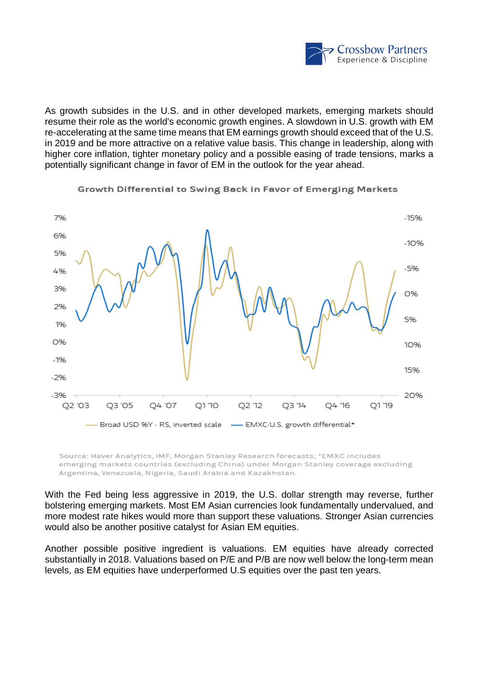

As growth subsides in the U.S. and in other developed markets, emerging markets should resume their role as the world's economic growth engines. A slowdown in U.S. growth with EM re-accelerating at the same time means that EM earnings growth should exceed that of the U.S. in 2019 and be more attractive on a relative value basis. This change in leadership, along with higher core inflation, tighter monetary policy and a possible easing of trade tensions, marks a potentially significant change in favor of EM in the outlook for the year ahead.



Growth Differential to Swing Back in Favor of Emerging Markets

Source: Haver Analytics, IMF, Morgan Stanley Research forecasts; \*EMXC includes emerging markets countries (excluding China) under Morgan Stanley coverage excluding Argentina, Venezuela, Nigeria, Saudi Arabia and Kazakhstan.

With the Fed being less aggressive in 2019, the U.S. dollar strength may reverse, further bolstering emerging markets. Most EM Asian currencies look fundamentally undervalued, and more modest rate hikes would more than support these valuations. Stronger Asian currencies would also be another positive catalyst for Asian EM equities.

Another possible positive ingredient is valuations. EM equities have already corrected substantially in 2018. Valuations based on P/E and P/B are now well below the long-term mean levels, as EM equities have underperformed U.S equities over the past ten years.